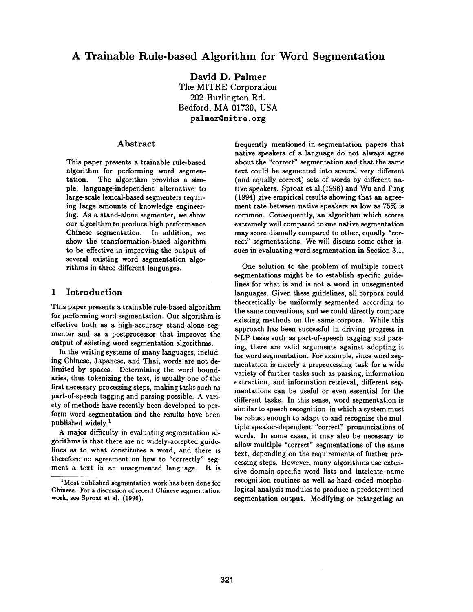# **A Trainable Rule-based Algorithm for Word Segmentation**

David D. Palmer The MITRE Corporation 202 Burlington Rd. Bedford, MA 01730, USA palmer@mitre, org

## Abstract

This paper presents a trainable rule-based algorithm for performing word segmentation. The algorithm provides a simple, language-independent alternative to large-scale lexicai-based segmenters requiring large amounts of knowledge engineering. As a stand-alone segmenter, we show our algorithm to produce high performance Chinese segmentation. In addition, we show the transformation-based algorithm to be effective in improving the output of several existing word segmentation algorithms in three different languages.

## 1 Introduction

This paper presents a trainable rule-based algorithm for performing word segmentation. Our algorithm is effective both as a high-accuracy stand-alone segmenter and as a postprocessor that improves the output of existing word segmentation algorithms.

In the writing systems of many languages, including Chinese, Japanese, and Thai, words are not delimited by spaces. Determining the word boundaries, thus tokenizing the text, is usually one of the first necessary processing steps, making tasks such as part-of-speech tagging and parsing possible. A variety of methods have recently been developed to perform word segmentation and the results have been published widely.<sup>1</sup>

A major difficulty in evaluating segmentation algorithms is that there are no widely-accepted guidelines as to what constitutes a word, and there is therefore no agreement on how to "correctly" segment a text in an unsegmented language. It is

frequently mentioned in segmentation papers that native speakers of a language do not always agree about the "correct" segmentation and that the same text could be segmented into several very different (and equally correct) sets of words by different native speakers. Sproat et a1.(1996) and Wu and Fung (1994) give empirical results showing that an agreement rate between native speakers as low as 75% is common. Consequently, an algorithm which scores extremely well compared to one native segmentation may score dismally compared to other, equally "correct" segmentations. We will discuss some other issues in evaluating word segmentation in Section 3.1.

One solution to the problem of multiple correct segmentations might be to establish specific guidelines for what is and is not a word in unsegmented languages. Given these guidelines, all corpora could theoretically be uniformly segmented according to the same conventions, and we could directly compare existing methods on the same corpora. While this approach has been successful in driving progress in NLP tasks such as part-of-speech tagging and parsing, there are valid arguments against adopting it for word segmentation. For example, since word segmentation is merely a preprocessing task for a wide variety of further tasks such as parsing, information extraction, and information retrieval, different segmentations can be useful or even essential for the different tasks. In this sense, word segmentation is similar to speech recognition, in which a system must be robust enough to adapt to and recognize the multiple speaker-dependent "correct" pronunciations of words. In some cases, it may also be necessary to allow multiple "correct" segmentations of the same text, depending on the requirements of further processing steps. However, many algorithms use extensive domain-specific word lists and intricate name recognition routines as well as hard-coded morphological analysis modules to produce a predetermined segmentation output. Modifying or retargeting an

<sup>&</sup>lt;sup>1</sup>Most published segmentation work has been done for Chinese. For a discussion of recent Chinese segmentation work, see Sproat et al. (1996).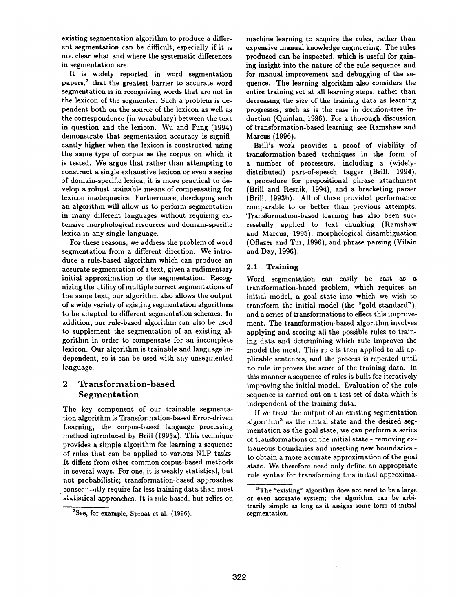existing segmentation algorithm to produce a different segmentation can be difficult, especially if it is not clear what and where the systematic differences in segmentation are.

It is widely reported in word segmentation papers,<sup>2</sup> that the greatest barrier to accurate word segmentation is in recognizing words that are not in the lexicon of the segmenter. Such a problem is dependent both on the source of the lexicon as well as the correspondence (in vocabulary) between the text in question and the lexicon. Wu and Fung (1994) demonstrate that segmentation accuracy is significantly higher when the lexicon is constructed using the same type of corpus as the corpus on which it is tested. We argue that rather than attempting to construct a single exhaustive lexicon or even a series of domain-specific lexica, it is more practical to develop a robust trainable means of compensating for lexicon inadequacies. Furthermore, developing such an algorithm will allow us to perform segmentation in many different languages without requiring extensive morphological resources and domain-specific lexica in any single language.

For these reasons, we address the problem of word segmentation from a different direction. We introduce a rule-based algorithm which can produce an accurate segmentation of a text, given a rudimentary initial approximation to the segmentation. Recognizing the utility of multiple correct segmentations of the same text, our algorithm also allows the output of a wide variety of existing segmentation algorithms to be adapted to different segmentation schemes. In addition, our rule-based algorithm can also be used to supplement the segmentation of an existing algorithm in order to compensate for an incomplete lexicon. Our algorithm is trainable and language independent, so it can be used with any unsegmented language.

# 2 Transformation-based Segmentation

The key component of our trainable segmentation algorithm is Transformation-based Error-driven Learning, the corpus-based language processing method introduced by Brill (1993a). This technique provides a simple algorithm for learning a sequence of rules that can be applied to various NLP tasks. It differs from other common corpus-based methods in several ways. For one, it is weakly statistical, but not probabilistic; transformation-based approaches conseon...tly require far less training data than most o;a~is~ical approaches. It is rule-based, but relies on machine learning to acquire the rules, rather than expensive manual knowledge engineering. The rules produced can be inspected, which is useful for gaining insight into the nature of the rule sequence and for manual improvement and debugging of the sequence. The learning algorithm also considers the entire training set at all learning steps, rather than decreasing the size of the training data as learning progresses, such as is the case in decision-tree induction (Quinlan, 1986). For a thorough discussion of transformation-based learning, see Ramshaw and Marcus (1996).

Brill's work provides a proof of viability of transformation-based techniques in the form of a number of processors, including a (widelydistributed) part-of-speech tagger (Brill, 1994), a procedure for prepositional phrase attachment (Brill and Resnik, 1994), and a bracketing parser (Brill, 1993b). All of these provided performance comparable to or better than previous attempts. Transformation-based learning has also been successfully applied to text chunking (Ramshaw and Marcus, 1995), morphological disambiguation (Oflazer and Tur, 1996), and phrase parsing (Vilain and Day, 1996).

## 2.1 Training

Word segmentation can easily be cast as a transformation-based problem, which requires an initial model, a goal state into which we wish to transform the initial model (the "gold standard"), and a series of transformations to effect this improvement. The transformation-based algorithm involves applying and scoring all the possible rules to training data and determining which rule improves the model the most. This rule is then applied to all applicable sentences, and the process is repeated until no rule improves the score of the training data. In this manner a sequence of rules is built for iteratively improving the initial model. Evaluation of the rule sequence is carried out on a test set of data which is independent of the training data.

If we treat the output of an existing segmentation algorithm<sup>3</sup> as the initial state and the desired segmentation as the goal state, we can perform a series of transformations on the initial state - removing extraneous boundaries and inserting new boundaries to obtain a more accurate approximation of the goal state. We therefore need only define an appropriate rule syntax for transforming this initial approxima-

<sup>&</sup>lt;sup>2</sup>See, for example, Sproat et al. (1996).

<sup>&</sup>lt;sup>3</sup>The "existing" algorithm does not need to be a large or even accurate system; the algorithm can be arbitrarily simple as long as it assigns some form of initial segmentation.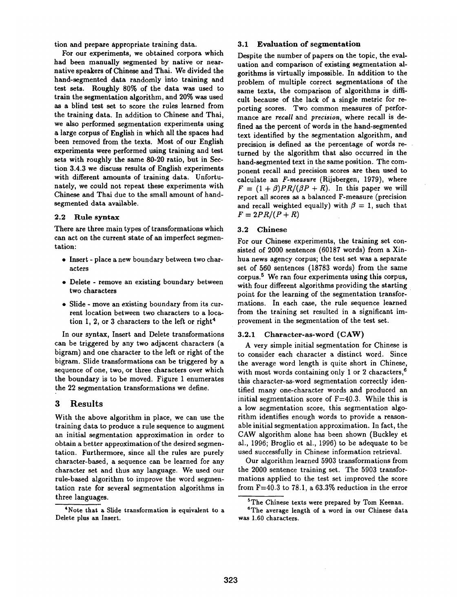tion and prepare appropriate training data.

For our experiments, we obtained corpora which had been manually segmented by native or nearnative speakers of Chinese and Thai. We divided the hand-segmented data randomly into training and test sets. Roughly 80% of the data was used to train the segmentation algorithm, and 20% was used as a blind test set to score the rules learned from the training data. In addition to Chinese and Thai, we also performed segmentation experiments using a large corpus of English in which all the spaces had been removed from the texts. Most of our English experiments were performed using training and test sets with roughly the same 80-20 ratio, but in Section 3.4.3 we discuss results of English experiments with different amounts of training data. Unfortunately, we could not repeat these experiments with Chinese and Thai due to the small amount of handsegmented data available.

#### **2.2 Rule syntax**

There are three main types of transformations which can act on the current state of an imperfect segmentation:

- Insert place a new boundary between two characters
- **Delete** remove an existing boundary between two characters
- Slide move an existing boundary from its current location between two characters to a location 1, 2, or 3 characters to the left or right<sup>4</sup>

In our syntax, Insert and Delete transformations can be triggered by any two adjacent characters (a bigram) and one character to the left or right of the bigram. Slide transformations can be triggered by a sequence of one, two, or three characters over which the boundary is to be moved. Figure 1 enumerates the 22 segmentation transformations we define.

## 3 Results

With the above algorithm in place, we can use the training data to produce a rule sequence to augment an initial segmentation approximation in order to obtain a better approximation of the desired segmentation. Furthermore, since all the rules are purely character-based, a sequence can be learned for any character set and thus any language. We used our rule-based algorithm to improve the word segmentation rate for several segmentation algorithms in three languages.

#### **3.1 Evaluation of segmentation**

Despite the number of papers on the topic, the evaluation and comparison of existing segmentation algorithms is virtually impossible. In addition to the problem of multiple correct segmentations of the same texts, the comparison of algorithms is difficult because of the lack of a single metric for reporting scores. Two common measures of performance are *recall* and *precision,* where recall is defined as the percent of words in the hand-segmented text identified by the segmentation algorithm, and precision is defined as the percentage of words returned by the algorithm that also occurred in the hand-segmented text in the same position. The component recall and precision scores are then used to calculate an *F-measure* (Rijsbergen, 1979), where  $F = (1 + \beta)PR/(\beta P + R)$ . In this paper we will report all scores as a balanced F-measure (precision and recall weighted equally) with  $\beta = 1$ , such that  $F = 2PR/(P + R)$ 

#### 3.2 Chinese

For our Chinese experiments, the training set consisted of 2000 sentences (60187 words) from a Xinhun news agency corpus; the test set was a separate set of 560 sentences (18783 words) from the same corpus. 5 We ran four experiments using this corpus, with four different algorithms providing the starting point for the learning of the segmentation transformations. In each case, the rule sequence learned from the training set resulted in a significant improvement in the segmentation of the test set.

#### 3.2.1 Character-as-word (CAW)

A very simple initial segmentation for Chinese is to consider each character a distinct word. Since the average word length is quite short in Chinese, with most words containing only 1 or 2 characters,<sup>6</sup> this character-as-word segmentation correctly identified many one-character words and produced an initial segmentation score of  $F=40.3$ . While this is a low segmentation score, this segmentation algorithm identifies enough words to provide a reasonable initial segmentation approximation. In fact, the CAW algorithm alone has been shown (Buckley et al., 1996; Broglio et al., 1996) to be adequate to be used successfully in Chinese information retrieval.

Our algorithm learned 5903 transformations from the 2000 sentence training set. The 5903 transformations applied to the test set improved the score from  $F=40.3$  to 78.1, a  $63.3\%$  reduction in the error

<sup>4</sup>Note that a Slide transformation is equivalent to a Delete plus an Insert.

<sup>&</sup>lt;sup>5</sup>The Chinese texts were prepared by Tom Keenan.

<sup>&</sup>lt;sup>6</sup>The average length of a word in our Chinese data was 1.60 characters.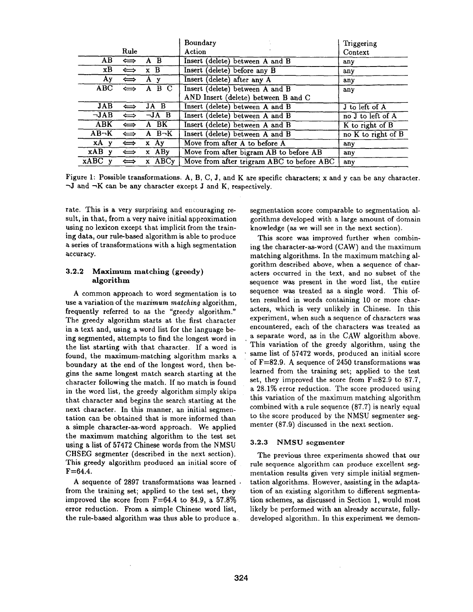|            | Rule                  |                                              | Boundary<br>Action                        | Triggering<br>Context  |
|------------|-----------------------|----------------------------------------------|-------------------------------------------|------------------------|
| AB         | $\Longleftrightarrow$ | A B                                          | Insert (delete) between A and B           | any                    |
| xВ         | $\Leftrightarrow$     | $x \, B$                                     | Insert (delete) before any B              | any                    |
| <b>Ay</b>  | $\Leftrightarrow$     | A v                                          | Insert (delete) after any A               | any                    |
| ABC        | $\Rightarrow$         | $\overline{A}$ $\overline{B}$ $\overline{C}$ | Insert (delete) between A and B           | any                    |
|            |                       |                                              | AND Insert (delete) between B and C       |                        |
| JAB        | $\Longleftrightarrow$ | JA B                                         | Insert (delete) between A and B           | J to left of A         |
| $\neg$ JAB | $\Rightarrow$         | $\neg JA \quad B$                            | Insert (delete) between A and B           | no J to left of A      |
| <b>ABK</b> | ⇔                     | A BK                                         | Insert (delete) between A and B           | $K$ to right of $B$    |
| $AB-K$     | $\Leftrightarrow$     | A $B-K$                                      | Insert (delete) between A and B           | no $K$ to right of $B$ |
| xA v       | $\Leftrightarrow$     | $x$ Ay                                       | Move from after A to before A             | any                    |
| xAB y      | $\Longleftrightarrow$ | x ABy                                        | Move from after bigram AB to before AB    | any                    |
| $xABC$ y   | $\Leftrightarrow$     | $x$ ABC $y$                                  | Move from after trigram ABC to before ABC | any                    |

Figure 1: Possible transformations. A, B, C, J, and K are specific characters; x and y can be any character.  $\neg J$  and  $\neg K$  can be any character except J and K, respectively.

rate. This is a very surprising and encouraging result, in that, from a very naive initial approximation using no lexicon except that implicit from the training data, our rule-based algorithm is able to produce a series of transformations with a high segmentation accuracy.

## 3.2.2 Maximum matching (greedy) algorithm

A common approach to word segmentation is to use a variation of the *maximum matching* algorithm, frequently referred to as the "greedy algorithm." The greedy algorithm starts at the first character in a text and, using a word list for the language being segmented, attempts to find the longest word in the list starting with that character. If a word is found, the maximum-matching algorithm marks a boundary at the end of the longest word, then begins the same longest match search starting at the character following the match. If no match is found in the word list, the greedy algorithm simply skips that character and begins the search starting at the next character. In this manner, an initial segmentation can be obtained that is more informed than a simple character-as-word approach. We applied the maximum matching algorithm to the test set using a list of 57472 Chinese words from the NMSU CHSEG segmenter (described in the next section). This greedy algorithm produced an initial score of  $F = 64.4.$ 

A sequence of 2897 transformations was learned • from the training set; applied to the test set, they improved the score from  $F=64.4$  to 84.9, a 57.8% error reduction. From a simple Chinese word list, the rule-based algorithm was thus able to produce asegmentation score comparable to segmentation algorithms developed with a large amount of domain knowledge (as we will see in the next section).

This score was improved further when combining the character-as-word (CAW) and the maximum matching algorithms. In the maximum matching algorithm described above, when a sequence of characters occurred in the text, and no subset of the sequence was present in the word list, the entire sequence was treated as a single word. This often resulted in words containing 10 or more characters, which is very unlikely in Chinese. In this experiment, when such a sequence of characters was encountered, each of the characters was treated as a separate word, as in the CAW algorithm above. This variation of the greedy algorithm, using the same list of 57472 words, produced an initial score of  $F=82.9$ . A sequence of 2450 transformations was learned from the training set; applied to the test set, they improved the score from  $F=82.9$  to 87.7, a 28.1% error reduction. The score produced using this variation of the maximum matching algorithm combined with a rule sequence (87.7) is nearly equal to the score produced by the NMSU segmenter segmenter (87.9) discussed in the next section.

## **3.2.3 NMSU** segmenter

The previous three experiments showed that our rule sequence algorithm can produce excellent segmentation results given very simple initial segmentation algorithms. However, assisting in the adaptation of an existing algorithm to different segmentation schemes, as discussed in Section 1, would most likely be performed with an already accurate, fullydeveloped algorithm. In this experiment we demon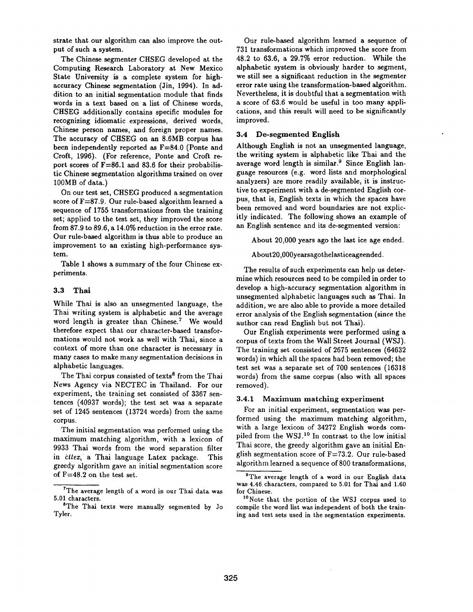strate that our algorithm can also improve the output of such a system.

The Chinese segmenter CHSEG developed at the Computing Research Laboratory at New Mexico State University is a complete system for highaccuracy Chinese segmentation (Jin, 1994). In addition to an initial segmentation module that finds words in a text based on a list of Chinese words, CHSEG additionally contains specific modules for recognizing idiomatic expressions, derived words, Chinese person names, and foreign proper names. The accuracy of CHSEG on an 8.6MB corpus has been independently reported as F=84.0 (Ponte and Croft, 1996). (For reference, Ponte and Croft report scores of  $F=86.1$  and 83.6 for their probabilistic Chinese segmentation algorithms trained on over 100MB of data.)

On our test set, CHSEG produced a segmentation score of  $F=87.9$ . Our rule-based algorithm learned a sequence of 1755 transformations from the training set; applied to the test set, they improved the score from 87.9 to 89.6, a 14.0% reduction in the error rate. Our rule-based algorithm is thus able to produce an improvement to an existing high-performance system.

Table 1 shows a summary of the four Chinese experiments.

#### **3.3 Thai**

While Thai is also an unsegmented language, the Thai writing system is alphabetic and the average word length is greater than Chinese.<sup>7</sup> We would therefore expect that our character-based transformations would not work as well with Thai, since a context of more than one character is necessary in many cases to make many segmentation decisions in alphabetic languages.

The Thai corpus consisted of texts<sup>8</sup> from the Thai News Agency via NECTEC in Thailand. For our experiment, the training set consisted of 3367 sentences (40937 words); the test set was a separate set of 1245 sentences (13724 words) from the same corpus.

The initial segmentation was performed using the maximum matching algorithm, with a lexicon of 9933 Thai words from the word separation filter in *cttex*, a Thai language Latex package. This greedy algorithm gave an initial segmentation score of  $F=48.2$  on the test set.

Our rule-based algorithm learned a sequence of 731 transformations which improved the score from 48.2 to 63.6, a 29.7% error reduction. While the alphabetic system is obviously harder to segment, we still see a significant reduction in the segmenter error rate using the transformation-based algorithm. Nevertheless, it is doubtful that a segmentation with a score of 63.6 would be useful in too many applications, and this result will need to be significantly improved.

#### 3.4 De-segmented English

Although English is not an unsegmented language, the writing system is alphabetic like Thai and the average word length is similar.<sup>9</sup> Since English language resources (e.g. word lists and morphological analyzers) are more readily available, it is instructive to experiment with a de-segmented English corpus, that is, English texts in which the spaces have been removed and word boundaries are not explicitly indicated. The following shows an example of an English sentence and its de-segmented version:

About 20,000 years ago the last ice age ended.

About20,000yearsagothelasticeageended.

The results of such experiments can help us determine which resources need to be compiled in order to develop a high-accuracy segmentation algorithm in unsegmented alphabetic languages such as Thai. In addition, we are also able to provide a more detailed error analysis of the English segmentation (since the author can read English but not Thai).

Our English experiments were performed using a corpus of texts from the Wall Street Journal (WSJ). The training set consisted of 2675 sentences (64632 words) in which all the spaces had been removed; the test set was a separate set of 700 sentences (16318 words) from the same corpus (also with all spaces removed).

#### 3.4.1 Maximum matching experiment

For an initial experiment, segmentation was performed using the maximum matching algorithm, with a large lexicon of 34272 English words compiled from the WSJ.<sup>10</sup> In contrast to the low initial Thai score, the greedy algorithm gave an initial English segmentation score of  $F=73.2$ . Our rule-based algorithm learned a sequence of 800 transformations,

<sup>7</sup>The average length of a word in our Thai data was 5.01 characters.

<sup>&</sup>lt;sup>8</sup>The Thai texts were manually segmented by Jo Tyler.

<sup>&</sup>lt;sup>9</sup>The average length of a word in our English data was 4.46. characters, compared to 5.01 for Thai and 1.60 for Chinese.

<sup>1°</sup>Note that the portion of the WSJ corpus used to compile the word list was independent of both the training and test sets used in the segmentation experiments.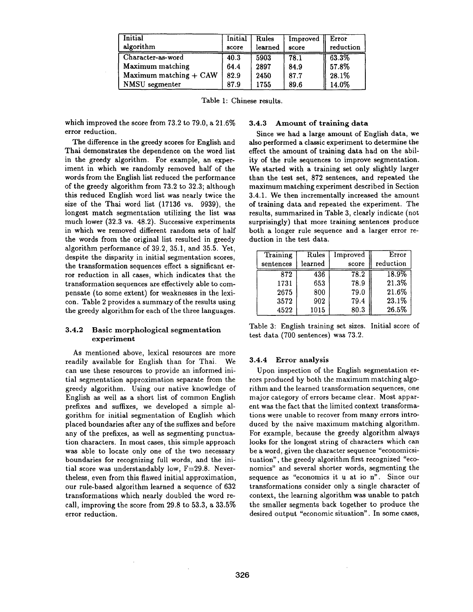| Initial<br>algorithm     | Initial<br>score | Rules<br>learned | Improved<br>score | Error<br>reduction |
|--------------------------|------------------|------------------|-------------------|--------------------|
| Character-as-word        | 40.3             | 5903             | 78.1              | 63.3%              |
| Maximum matching         | 64.4             | 2897             | 84.9              | 57.8%              |
| Maximum matching $+$ CAW | 82.9             | 2450             | 87.7              | 28.1%              |
| NMSU segmenter           | 87.9             | 1755             | 89.6              | 14.0%              |

Table 1: Chinese results.

which improved the score from 73.2 to 79.0, a 21.6% error reduction.

The difference in the greedy scores for English and Thai demonstrates the dependence on the word list in the greedy algorithm. For example, an experiment in which we randomly removed half of the words from the English list reduced the performance of the greedy algorithm from 73.2 to 32.3; although this reduced English word list was nearly twice the size of the Thai word list (17136 vs. 9939), the longest match segmentation utilizing the list was much lower (32.3 vs. 48.2). Successive experiments in which we removed different random sets of half the words from the original list resulted in greedy algorithm performance of 39.2, 35.1, and 35.5. Yet, despite the disparity in initial segmentation scores, the transformation sequences effect a significant error reduction in all cases, which indicates that the transformation sequences are effectively able to compensate (to some extent) for weaknesses in the lexicon. Table 2 provides a summary of the results using the greedy algorithm for each of the three languages.

## 3.4.2 Basic morphological segmentation experiment

As mentioned above, lexical resources are more readily available for English than for Thai. We can use these resources to provide an informed initial segmentation approximation separate from the greedy algorithm. Using our native knowledge of English as well as a short list of common English prefixes and suffixes, we developed a simple algorithm for initial segmentation of English which placed boundaries after any of the suffixes and before any of the prefixes, as well as segmenting punctuation characters. In most cases, this simple approach was able to locate only one of the two necessary boundaries for recognizing full words, and the initial score was understandably low,  $F=29.8$ . Nevertheless, even from this flawed initial approximation, our rule-based algorithm learned a sequence of 632 transformations which nearly doubled the word recall, improving the score from 29.8 to 53.3, a 33.5% error reduction.

## **3.4.3 Amount of training data**

Since we had a large amount of English data, we also performed a classic experiment to determine the effect the amount of training data had on the ability of the rule sequences to improve segmentation. We started with a training set only slightly larger than the test set, 872 sentences, and repeated the maximum matching experiment described in Section 3.4.1. We then incrementally increased the amount of training data and repeated the experiment. The results, summarized in Table 3, clearly indicate (not surprisingly) that more training sentences produce both a longer rule sequence and a larger error reduction in the test data.

| Training  | Rules           | Improved | Error     |
|-----------|-----------------|----------|-----------|
| sentences | ${\bf learned}$ | score    | reduction |
| 872       | 436             | 78.2     | 18.9%     |
| 1731      | 653             | 78.9     | 21.3%     |
| 2675      | 800             | 79.0     | 21.6%     |
| 3572      | 902             | 79.4     | 23.1%     |
| 4522      | 1015            | 80.3     | 26.5%     |

Table 3: English training set sizes. Initial score of test data (700 sentences) was 73.2.

#### 3.4.4 Error analysis

Upon inspection of the English segmentation errors produced by both the maximum matching algorithm and the learned transformation sequences, one major category of errors became clear. Most apparent was the fact that the limited context transformations were unable to recover from many errors introduced by the naive maximum matching algorithm. For example, because the greedy algorithm always looks for the longest string of characters which can be a word, given the character sequence "economicsituation", the greedy algorithm first recognized "economics" and several shorter words, segmenting the sequence as "economics it u at io n". Since our transformations consider only a single character of context, the learning algorithm was unable to patch the smaller segments back together to produce the desired output "economic situation". In some cases,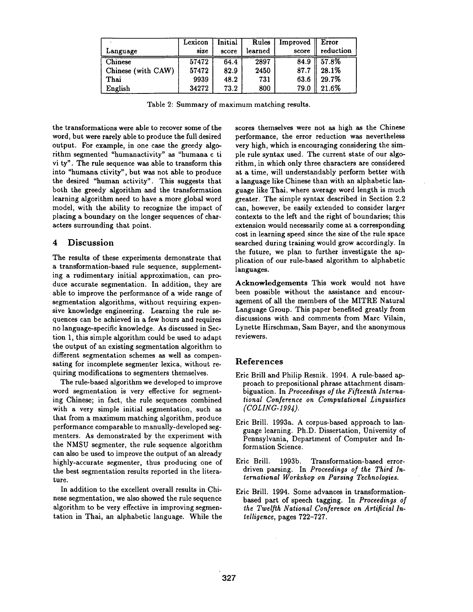| Language           | Lexicon<br>size | Initial<br>score | Rules<br>${\bf learned}$ | Improved<br>score | Error<br>reduction |
|--------------------|-----------------|------------------|--------------------------|-------------------|--------------------|
| Chinese            | 57472           | 64.4             | 2897                     | 84.9              | 57.8%              |
| Chinese (with CAW) | 57472           | 82.9             | 2450                     | 87.7              | 28.1%              |
| Thai               | 9939            | 48.2             | 731                      | 63.6              | 29.7%              |
| English            | 34272           | 73.2             | 800                      | 79.0              | 21.6%              |

Table 2: Summary of maximum matching results.

the transformations were able to recover some of the word, but were rarely able to produce the full desired output. For example, in one case the greedy algorithm segmented "humanactivity" as "humana c ti vi ty". The rule sequence was able to transform this into "humana ctivity", but was not able to produce the desired "human activity". This suggests that both the greedy algorithm and the transformation learning algorithm need to have a more global word model, with the ability to recognize the impact of placing a boundary on the longer sequences of characters surrounding that point.

## 4 Discussion

The results of these experiments demonstrate that a transformation-based rule sequence, supplementing a rudimentary initial approximation, can produce accurate segmentation. In addition, they are able to improve the performance of a wide range of segmentation algorithms, without requiring expensive knowledge engineering. Learning the rule sequences can be achieved in a few hours and requires no language-specific knowledge. As discussed in Section 1, this simple algorithm could be used to adapt the output of an existing segmentation algorithm to different segmentation schemes as well as compensating for incomplete segmenter lexica, without requiring modifications to segmenters themselves.

The rule-based algorithm we developed to improve word segmentation is very effective for segmenting Chinese; in fact, the rule sequences combined with a very simple initial segmentation, such as that from a maximum matching algorithm, produce performance comparable to manually-developed segmenters. As demonstrated by the experiment with the NMSU segmenter, the rule sequence algorithm can also be used to improve the output of an already highly-accurate segmenter, thus producing one of the best segmentation results reported in the literature.

In addition to the excellent overall results in Chinese segmentation, we also showed the rule sequence algorithm to be very effective in improving segmentation in Thai, an alphabetic language. While the scores themselves were not as high as the Chinese performance, the error reduction was nevertheless very high, which is encouraging considering the simple rule syntax used. The current state of our algorithm, in which only three characters are considered at a time, will understandably perform better with a language like Chinese than with an alphabetic language like Thai, where average word length is much greater. The simple syntax described in Section 2.2 can, however, be easily extended to consider larger contexts to the left and the right of boundaries; this extension would necessarily come at a corresponding cost in learning speed since the size of the rule space searched during training would grow accordingly. In the future, we plan to further investigate the application of our rule-based algorithm to alphabetic languages.

Acknowledgements This work would not have been possible without the assistance and encouragement of all the members of the MITRE Natural Language Group. This paper benefited greatly from discussions with and comments from Marc Vilain, Lynette Hirschman, Sam Bayer, and the anonymous reviewers.

## References

- Eric Brill and Philip Resnik. 1994. A rule-based approach to prepositional phrase attachment disambiguation. In *Proceedings of the Fifteenth International Conference on Computational Linguistics (COLING-1994).*
- Eric Brill. 1993a. A corpus-based approach to language learning. Ph.D. Dissertation, University of Pennsylvania, Department of Computer and Information Science.
- Eric Brill. 1993b. Transformation-based errordriven parsing. In *Proceedings of the Third International Workshop on Parsing Technologies.*
- Eric Brill. 1994. Some advances in transformationbased part of speech tagging. In *Proceedings of*  the Twelfth National Conference on Artificial In*telligence,* pages 722-727.